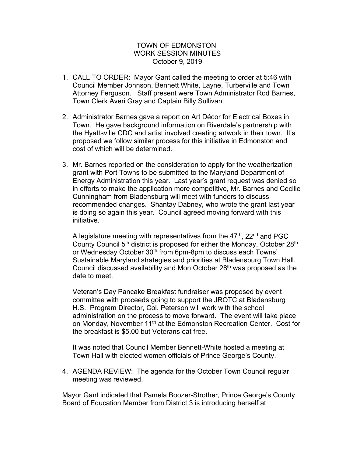## TOWN OF EDMONSTON WORK SESSION MINUTES October 9, 2019

- 1. CALL TO ORDER: Mayor Gant called the meeting to order at 5:46 with Council Member Johnson, Bennett White, Layne, Turberville and Town Attorney Ferguson. Staff present were Town Administrator Rod Barnes, Town Clerk Averi Gray and Captain Billy Sullivan.
- 2. Administrator Barnes gave a report on Art Décor for Electrical Boxes in Town. He gave background information on Riverdale's partnership with the Hyattsville CDC and artist involved creating artwork in their town. It's proposed we follow similar process for this initiative in Edmonston and cost of which will be determined.
- 3. Mr. Barnes reported on the consideration to apply for the weatherization grant with Port Towns to be submitted to the Maryland Department of Energy Administration this year. Last year's grant request was denied so in efforts to make the application more competitive, Mr. Barnes and Cecille Cunningham from Bladensburg will meet with funders to discuss recommended changes. Shantay Dabney, who wrote the grant last year is doing so again this year. Council agreed moving forward with this initiative.

A legislature meeting with representatives from the  $47<sup>th</sup>$ ,  $22<sup>nd</sup>$  and PGC County Council 5<sup>th</sup> district is proposed for either the Monday, October 28<sup>th</sup> or Wednesday October 30<sup>th</sup> from 6pm-8pm to discuss each Towns' Sustainable Maryland strategies and priorities at Bladensburg Town Hall. Council discussed availability and Mon October 28th was proposed as the date to meet.

Veteran's Day Pancake Breakfast fundraiser was proposed by event committee with proceeds going to support the JROTC at Bladensburg H.S. Program Director, Col. Peterson will work with the school administration on the process to move forward. The event will take place on Monday, November 11<sup>th</sup> at the Edmonston Recreation Center. Cost for the breakfast is \$5.00 but Veterans eat free.

It was noted that Council Member Bennett-White hosted a meeting at Town Hall with elected women officials of Prince George's County.

4. AGENDA REVIEW: The agenda for the October Town Council regular meeting was reviewed.

Mayor Gant indicated that Pamela Boozer-Strother, Prince George's County Board of Education Member from District 3 is introducing herself at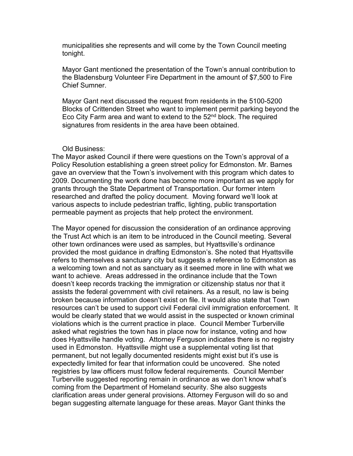municipalities she represents and will come by the Town Council meeting tonight.

Mayor Gant mentioned the presentation of the Town's annual contribution to the Bladensburg Volunteer Fire Department in the amount of \$7,500 to Fire Chief Sumner.

Mayor Gant next discussed the request from residents in the 5100-5200 Blocks of Crittenden Street who want to implement permit parking beyond the Eco City Farm area and want to extend to the  $52<sup>nd</sup>$  block. The required signatures from residents in the area have been obtained.

## Old Business:

The Mayor asked Council if there were questions on the Town's approval of a Policy Resolution establishing a green street policy for Edmonston. Mr. Barnes gave an overview that the Town's involvement with this program which dates to 2009. Documenting the work done has become more important as we apply for grants through the State Department of Transportation. Our former intern researched and drafted the policy document. Moving forward we'll look at various aspects to include pedestrian traffic, lighting, public transportation permeable payment as projects that help protect the environment.

The Mayor opened for discussion the consideration of an ordinance approving the Trust Act which is an item to be introduced in the Council meeting. Several other town ordinances were used as samples, but Hyattsville's ordinance provided the most guidance in drafting Edmonston's. She noted that Hyattsville refers to themselves a sanctuary city but suggests a reference to Edmonston as a welcoming town and not as sanctuary as it seemed more in line with what we want to achieve. Areas addressed in the ordinance include that the Town doesn't keep records tracking the immigration or citizenship status nor that it assists the federal government with civil retainers. As a result, no law is being broken because information doesn't exist on file. It would also state that Town resources can't be used to support civil Federal civil immigration enforcement. It would be clearly stated that we would assist in the suspected or known criminal violations which is the current practice in place. Council Member Turberville asked what registries the town has in place now for instance, voting and how does Hyattsville handle voting. Attorney Ferguson indicates there is no registry used in Edmonston. Hyattsville might use a supplemental voting list that permanent, but not legally documented residents might exist but it's use is expectedly limited for fear that information could be uncovered. She noted registries by law officers must follow federal requirements. Council Member Turberville suggested reporting remain in ordinance as we don't know what's coming from the Department of Homeland security. She also suggests clarification areas under general provisions. Attorney Ferguson will do so and began suggesting alternate language for these areas. Mayor Gant thinks the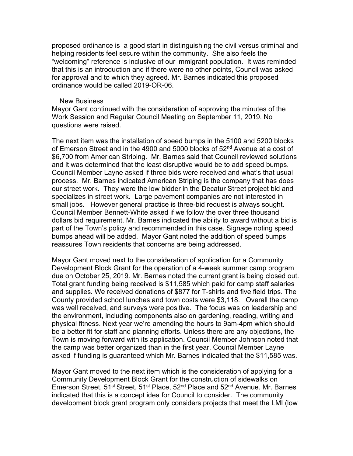proposed ordinance is a good start in distinguishing the civil versus criminal and helping residents feel secure within the community. She also feels the "welcoming" reference is inclusive of our immigrant population. It was reminded that this is an introduction and if there were no other points, Council was asked for approval and to which they agreed. Mr. Barnes indicated this proposed ordinance would be called 2019-OR-06.

## New Business

Mayor Gant continued with the consideration of approving the minutes of the Work Session and Regular Council Meeting on September 11, 2019. No questions were raised.

The next item was the installation of speed bumps in the 5100 and 5200 blocks of Emerson Street and in the 4900 and 5000 blocks of 52<sup>nd</sup> Avenue at a cost of \$6,700 from American Striping. Mr. Barnes said that Council reviewed solutions and it was determined that the least disruptive would be to add speed bumps. Council Member Layne asked if three bids were received and what's that usual process. Mr. Barnes indicated American Striping is the company that has does our street work. They were the low bidder in the Decatur Street project bid and specializes in street work. Large pavement companies are not interested in small jobs. However general practice is three-bid request is always sought. Council Member Bennett-White asked if we follow the over three thousand dollars bid requirement. Mr. Barnes indicated the ability to award without a bid is part of the Town's policy and recommended in this case. Signage noting speed bumps ahead will be added. Mayor Gant noted the addition of speed bumps reassures Town residents that concerns are being addressed.

Mayor Gant moved next to the consideration of application for a Community Development Block Grant for the operation of a 4-week summer camp program due on October 25, 2019. Mr. Barnes noted the current grant is being closed out. Total grant funding being received is \$11,585 which paid for camp staff salaries and supplies. We received donations of \$877 for T-shirts and five field trips. The County provided school lunches and town costs were \$3,118. Overall the camp was well received, and surveys were positive. The focus was on leadership and the environment, including components also on gardening, reading, writing and physical fitness. Next year we're amending the hours to 9am-4pm which should be a better fit for staff and planning efforts. Unless there are any objections, the Town is moving forward with its application. Council Member Johnson noted that the camp was better organized than in the first year. Council Member Layne asked if funding is guaranteed which Mr. Barnes indicated that the \$11,585 was.

Mayor Gant moved to the next item which is the consideration of applying for a Community Development Block Grant for the construction of sidewalks on Emerson Street, 51<sup>st</sup> Street, 51<sup>st</sup> Place, 52<sup>nd</sup> Place and 52<sup>nd</sup> Avenue. Mr. Barnes indicated that this is a concept idea for Council to consider. The community development block grant program only considers projects that meet the LMI (low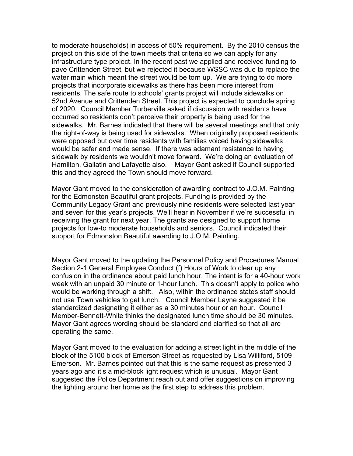to moderate households) in access of 50% requirement. By the 2010 census the project on this side of the town meets that criteria so we can apply for any infrastructure type project. In the recent past we applied and received funding to pave Crittenden Street, but we rejected it because WSSC was due to replace the water main which meant the street would be torn up. We are trying to do more projects that incorporate sidewalks as there has been more interest from residents. The safe route to schools' grants project will include sidewalks on 52nd Avenue and Crittenden Street. This project is expected to conclude spring of 2020. Council Member Turberville asked if discussion with residents have occurred so residents don't perceive their property is being used for the sidewalks. Mr. Barnes indicated that there will be several meetings and that only the right-of-way is being used for sidewalks. When originally proposed residents were opposed but over time residents with families voiced having sidewalks would be safer and made sense. If there was adamant resistance to having sidewalk by residents we wouldn't move forward. We're doing an evaluation of Hamilton, Gallatin and Lafayette also. Mayor Gant asked if Council supported this and they agreed the Town should move forward.

Mayor Gant moved to the consideration of awarding contract to J.O.M. Painting for the Edmonston Beautiful grant projects. Funding is provided by the Community Legacy Grant and previously nine residents were selected last year and seven for this year's projects. We'll hear in November if we're successful in receiving the grant for next year. The grants are designed to support home projects for low-to moderate households and seniors. Council indicated their support for Edmonston Beautiful awarding to J.O.M. Painting.

Mayor Gant moved to the updating the Personnel Policy and Procedures Manual Section 2-1 General Employee Conduct (f) Hours of Work to clear up any confusion in the ordinance about paid lunch hour. The intent is for a 40-hour work week with an unpaid 30 minute or 1-hour lunch. This doesn't apply to police who would be working through a shift. Also, within the ordinance states staff should not use Town vehicles to get lunch. Council Member Layne suggested it be standardized designating it either as a 30 minutes hour or an hour. Council Member-Bennett-White thinks the designated lunch time should be 30 minutes. Mayor Gant agrees wording should be standard and clarified so that all are operating the same.

Mayor Gant moved to the evaluation for adding a street light in the middle of the block of the 5100 block of Emerson Street as requested by Lisa Williford, 5109 Emerson. Mr. Barnes pointed out that this is the same request as presented 3 years ago and it's a mid-block light request which is unusual. Mayor Gant suggested the Police Department reach out and offer suggestions on improving the lighting around her home as the first step to address this problem.